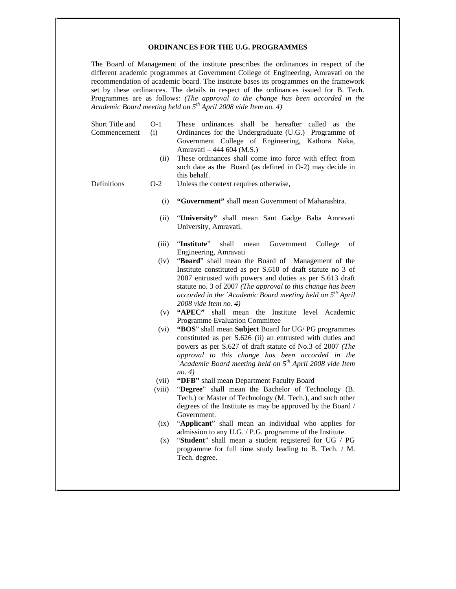#### **ORDINANCES FOR THE U.G. PROGRAMMES**

The Board of Management of the institute prescribes the ordinances in respect of the different academic programmes at Government College of Engineering, Amravati on the recommendation of academic board. The institute bases its programmes on the framework set by these ordinances. The details in respect of the ordinances issued for B. Tech. Programmes are as follows: *(The approval to the change has been accorded in the Academic Board meeting held on 5th April 2008 vide Item no. 4)*

| Short Title and<br>Commencement | $O-1$<br>(i)    | These ordinances shall be hereafter called as the<br>Ordinances for the Undergraduate (U.G.) Programme of<br>Government College of Engineering, Kathora Naka,<br>Amravati - 444 604 (M.S.)                                                                                                                                          |
|---------------------------------|-----------------|-------------------------------------------------------------------------------------------------------------------------------------------------------------------------------------------------------------------------------------------------------------------------------------------------------------------------------------|
|                                 | (ii)            | These ordinances shall come into force with effect from<br>such date as the Board (as defined in O-2) may decide in<br>this behalf.                                                                                                                                                                                                 |
| Definitions                     | $O-2$           | Unless the context requires otherwise,                                                                                                                                                                                                                                                                                              |
|                                 | (i)             | "Government" shall mean Government of Maharashtra.                                                                                                                                                                                                                                                                                  |
|                                 | (ii)            | "University" shall mean Sant Gadge Baba Amravati<br>University, Amravati.                                                                                                                                                                                                                                                           |
|                                 | (iii)           | "Institute"<br>shall<br>College<br>mean<br>Government<br>of<br>Engineering, Amravati                                                                                                                                                                                                                                                |
|                                 | (iv)            | "Board" shall mean the Board of Management of the<br>Institute constituted as per S.610 of draft statute no 3 of<br>2007 entrusted with powers and duties as per S.613 draft<br>statute no. 3 of 2007 (The approval to this change has been<br>accorded in the `Academic Board meeting held on $5th$ April<br>2008 vide Item no. 4) |
|                                 | (v)             | "APEC" shall mean the Institute level Academic<br>Programme Evaluation Committee                                                                                                                                                                                                                                                    |
|                                 | (vi)            | "BOS" shall mean Subject Board for UG/PG programmes<br>constituted as per S.626 (ii) an entrusted with duties and<br>powers as per S.627 of draft statute of No.3 of 2007 (The<br>approval to this change has been accorded in the<br>`Academic Board meeting held on 5 <sup>th</sup> April 2008 vide Item<br>no. 4)                |
|                                 | (vii)<br>(viii) | "DFB" shall mean Department Faculty Board<br>"Degree" shall mean the Bachelor of Technology (B.                                                                                                                                                                                                                                     |
|                                 |                 | Tech.) or Master of Technology (M. Tech.), and such other<br>degrees of the Institute as may be approved by the Board /<br>Government.                                                                                                                                                                                              |
|                                 | (ix)            | "Applicant" shall mean an individual who applies for<br>admission to any U.G. / P.G. programme of the Institute.                                                                                                                                                                                                                    |
|                                 | (x)             | "Student" shall mean a student registered for UG / PG<br>programme for full time study leading to B. Tech. / M.<br>Tech. degree.                                                                                                                                                                                                    |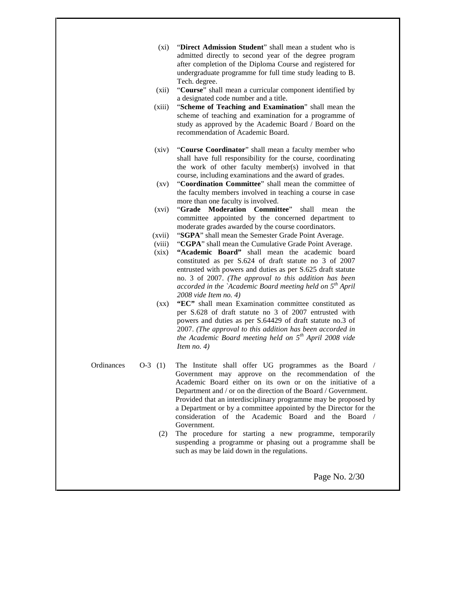- (xi) "**Direct Admission Student**" shall mean a student who is admitted directly to second year of the degree program after completion of the Diploma Course and registered for undergraduate programme for full time study leading to B. Tech. degree.
- (xii) "**Course**" shall mean a curricular component identified by a designated code number and a title.
- (xiii) "**Scheme of Teaching and Examination**" shall mean the scheme of teaching and examination for a programme of study as approved by the Academic Board / Board on the recommendation of Academic Board.
- (xiv) "**Course Coordinator**" shall mean a faculty member who shall have full responsibility for the course, coordinating the work of other faculty member(s) involved in that course, including examinations and the award of grades.
- (xv) "**Coordination Committee**" shall mean the committee of the faculty members involved in teaching a course in case more than one faculty is involved.
- (xvi) "**Grade Moderation Committee**" shall mean the committee appointed by the concerned department to moderate grades awarded by the course coordinators.
- (xvii) "**SGPA**" shall mean the Semester Grade Point Average.
- (viii) "**CGPA**" shall mean the Cumulative Grade Point Average.
- (xix) **"Academic Board"** shall mean the academic board constituted as per S.624 of draft statute no 3 of 2007 entrusted with powers and duties as per S.625 draft statute no. 3 of 2007. *(The approval to this addition has been accorded in the `Academic Board meeting held on 5th April 2008 vide Item no. 4)*
- (xx) **"EC"** shall mean Examination committee constituted as per S.628 of draft statute no 3 of 2007 entrusted with powers and duties as per S.64429 of draft statute no.3 of 2007. *(The approval to this addition has been accorded in the Academic Board meeting held on 5th April 2008 vide Item no. 4)*
- 
- Ordinances O-3 (1) The Institute shall offer UG programmes as the Board / Government may approve on the recommendation of the Academic Board either on its own or on the initiative of a Department and / or on the direction of the Board / Government. Provided that an interdisciplinary programme may be proposed by a Department or by a committee appointed by the Director for the consideration of the Academic Board and the Board / Government.
	- (2) The procedure for starting a new programme, temporarily suspending a programme or phasing out a programme shall be such as may be laid down in the regulations.

Page No. 2/30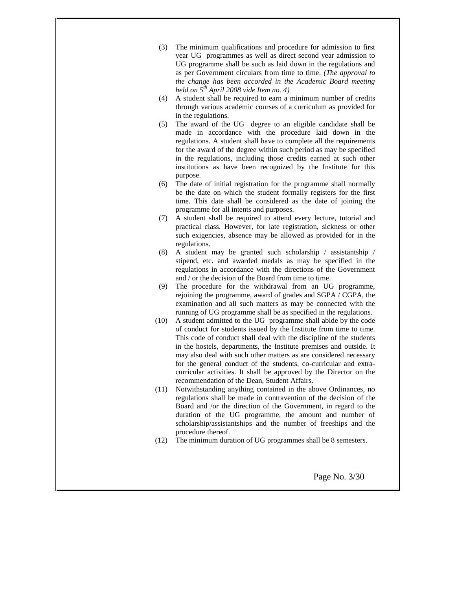- (3) The minimum qualifications and procedure for admission to first year UG programmes as well as direct second year admission to UG programme shall be such as laid down in the regulations and as per Government circulars from time to time. *(The approval to the change has been accorded in the Academic Board meeting held on 5th April 2008 vide Item no. 4)*
- (4) A student shall be required to earn a minimum number of credits through various academic courses of a curriculum as provided for in the regulations.
- (5) The award of the UG degree to an eligible candidate shall be made in accordance with the procedure laid down in the regulations. A student shall have to complete all the requirements for the award of the degree within such period as may be specified in the regulations, including those credits earned at such other institutions as have been recognized by the Institute for this purpose.
- (6) The date of initial registration for the programme shall normally be the date on which the student formally registers for the first time. This date shall be considered as the date of joining the programme for all intents and purposes.
- (7) A student shall be required to attend every lecture, tutorial and practical class. However, for late registration, sickness or other such exigencies, absence may be allowed as provided for in the regulations.
- (8) A student may be granted such scholarship / assistantship / stipend, etc. and awarded medals as may be specified in the regulations in accordance with the directions of the Government and / or the decision of the Board from time to time.
- (9) The procedure for the withdrawal from an UG programme, rejoining the programme, award of grades and SGPA / CGPA, the examination and all such matters as may be connected with the running of UG programme shall be as specified in the regulations.
- (10) A student admitted to the UG programme shall abide by the code of conduct for students issued by the Institute from time to time. This code of conduct shall deal with the discipline of the students in the hostels, departments, the Institute premises and outside. It may also deal with such other matters as are considered necessary for the general conduct of the students, co-curricular and extra curricular activities. It shall be approved by the Director on the recommendation of the Dean, Student Affairs.
- (11) Notwithstanding anything contained in the above Ordinances, no regulations shall be made in contravention of the decision of the Board and /or the direction of the Government, in regard to the duration of the UG programme, the amount and number of scholarship/assistantships and the number of freeships and the procedure thereof.
- (12) The minimum duration of UG programmes shall be 8 semesters.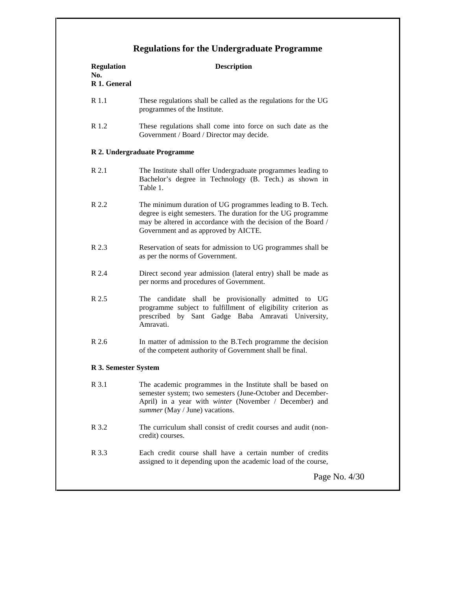# **Regulations for the Undergraduate Programme**

| <b>Regulation</b><br>No.<br>R 1. General | <b>Description</b>                                                                                                                                                                                                                 |
|------------------------------------------|------------------------------------------------------------------------------------------------------------------------------------------------------------------------------------------------------------------------------------|
| R 1.1                                    | These regulations shall be called as the regulations for the UG<br>programmes of the Institute.                                                                                                                                    |
| R 1.2                                    | These regulations shall come into force on such date as the<br>Government / Board / Director may decide.                                                                                                                           |
|                                          | R 2. Undergraduate Programme                                                                                                                                                                                                       |
| R 2.1                                    | The Institute shall offer Undergraduate programmes leading to<br>Bachelor's degree in Technology (B. Tech.) as shown in<br>Table 1.                                                                                                |
| R 2.2                                    | The minimum duration of UG programmes leading to B. Tech.<br>degree is eight semesters. The duration for the UG programme<br>may be altered in accordance with the decision of the Board /<br>Government and as approved by AICTE. |
| R 2.3                                    | Reservation of seats for admission to UG programmes shall be<br>as per the norms of Government.                                                                                                                                    |
| R 2.4                                    | Direct second year admission (lateral entry) shall be made as<br>per norms and procedures of Government.                                                                                                                           |
| R 2.5                                    | The candidate shall be provisionally admitted to UG<br>programme subject to fulfillment of eligibility criterion as<br>prescribed by Sant Gadge Baba Amravati University,<br>Amravati.                                             |
| R 2.6                                    | In matter of admission to the B.Tech programme the decision<br>of the competent authority of Government shall be final.                                                                                                            |
| R 3. Semester System                     |                                                                                                                                                                                                                                    |
| R 3.1                                    | The academic programmes in the Institute shall be based on<br>semester system; two semesters (June-October and December-<br>April) in a year with winter (November / December) and<br>summer (May / June) vacations.               |
| R 3.2                                    | The curriculum shall consist of credit courses and audit (non-<br>credit) courses.                                                                                                                                                 |
| R 3.3                                    | Each credit course shall have a certain number of credits<br>assigned to it depending upon the academic load of the course,                                                                                                        |
|                                          | Page No. 4/30                                                                                                                                                                                                                      |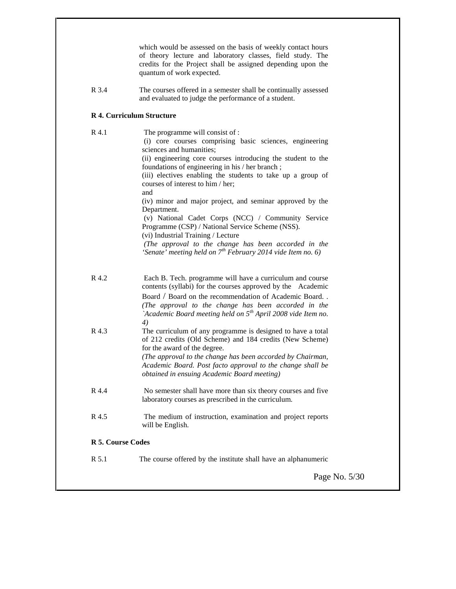|                   | which would be assessed on the basis of weekly contact hours<br>of theory lecture and laboratory classes, field study. The<br>credits for the Project shall be assigned depending upon the<br>quantum of work expected.                                                                                                                                                                                           |
|-------------------|-------------------------------------------------------------------------------------------------------------------------------------------------------------------------------------------------------------------------------------------------------------------------------------------------------------------------------------------------------------------------------------------------------------------|
| R 3.4             | The courses offered in a semester shall be continually assessed<br>and evaluated to judge the performance of a student.                                                                                                                                                                                                                                                                                           |
|                   | <b>R 4. Curriculum Structure</b>                                                                                                                                                                                                                                                                                                                                                                                  |
| R 4.1             | The programme will consist of :<br>(i) core courses comprising basic sciences, engineering<br>sciences and humanities;<br>(ii) engineering core courses introducing the student to the<br>foundations of engineering in his / her branch;<br>(iii) electives enabling the students to take up a group of<br>courses of interest to him / her;<br>and<br>(iv) minor and major project, and seminar approved by the |
|                   | Department.<br>(v) National Cadet Corps (NCC) / Community Service<br>Programme (CSP) / National Service Scheme (NSS).<br>(vi) Industrial Training / Lecture<br>(The approval to the change has been accorded in the<br>'Senate' meeting held on $7^{th}$ February 2014 vide Item no. 6)                                                                                                                           |
| R 4.2             | Each B. Tech. programme will have a curriculum and course<br>contents (syllabi) for the courses approved by the Academic<br>Board / Board on the recommendation of Academic Board. .<br>(The approval to the change has been accorded in the<br>'Academic Board meeting held on $5th$ April 2008 vide Item no.<br>4)                                                                                              |
| R 4.3             | The curriculum of any programme is designed to have a total<br>of 212 credits (Old Scheme) and 184 credits (New Scheme)<br>for the award of the degree.<br>(The approval to the change has been accorded by Chairman,<br>Academic Board. Post facto approval to the change shall be<br>obtained in ensuing Academic Board meeting)                                                                                |
| R 4.4             | No semester shall have more than six theory courses and five<br>laboratory courses as prescribed in the curriculum.                                                                                                                                                                                                                                                                                               |
| R 4.5             | The medium of instruction, examination and project reports<br>will be English.                                                                                                                                                                                                                                                                                                                                    |
| R 5. Course Codes |                                                                                                                                                                                                                                                                                                                                                                                                                   |
| R 5.1             | The course offered by the institute shall have an alphanumeric                                                                                                                                                                                                                                                                                                                                                    |
|                   | Page No. 5/30                                                                                                                                                                                                                                                                                                                                                                                                     |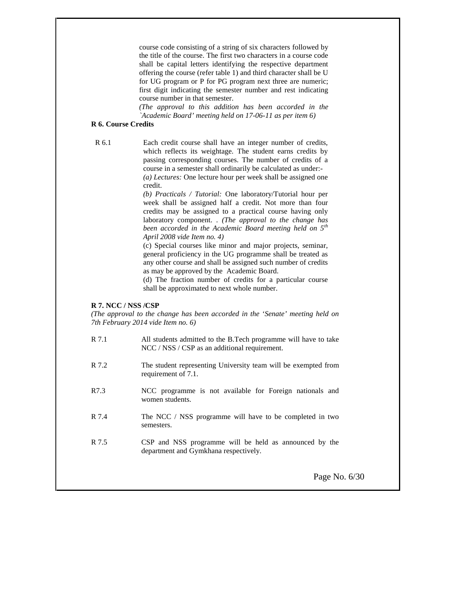course code consisting of a string of six characters followed by the title of the course. The first two characters in a course code shall be capital letters identifying the respective department offering the course (refer table 1) and third character shall be U for UG program or P for PG program next three are numeric; first digit indicating the semester number and rest indicating course number in that semester.

*(The approval to this addition has been accorded in the `Academic Board' meeting held on 17-06-11 as per item 6)*

#### **R 6. Course Credits**

R 6.1 Each credit course shall have an integer number of credits, which reflects its weightage. The student earns credits by passing corresponding courses. The number of credits of a course in a semester shall ordinarily be calculated as under:- *(a) Lectures:* One lecture hour per week shall be assigned one credit.

> *(b) Practicals / Tutorial:* One laboratory/Tutorial hour per week shall be assigned half a credit. Not more than four credits may be assigned to a practical course having only laboratory component. . *(The approval to the change has been accorded in the Academic Board meeting held on 5th April 2008 vide Item no. 4)*

> (c) Special courses like minor and major projects, seminar, general proficiency in the UG programme shall be treated as any other course and shall be assigned such number of credits as may be approved by the Academic Board.

> (d) The fraction number of credits for a particular course shall be approximated to next whole number.

## **R 7. NCC / NSS /CSP**

*(The approval to the change has been accorded in the `Senate' meeting held on 7th February 2014 vide Item no. 6)*

| R 7.1 | All students admitted to the B.Tech programme will have to take |
|-------|-----------------------------------------------------------------|
|       | $NCC / NSS / CSP$ as an additional requirement.                 |

- R 7.2 The student representing University team will be exempted from requirement of 7.1.
- R7.3 NCC programme is not available for Foreign nationals and women students.
- R 7.4 The NCC / NSS programme will have to be completed in two semesters.
- R 7.5 CSP and NSS programme will be held as announced by the department and Gymkhana respectively.

Page No. 6/30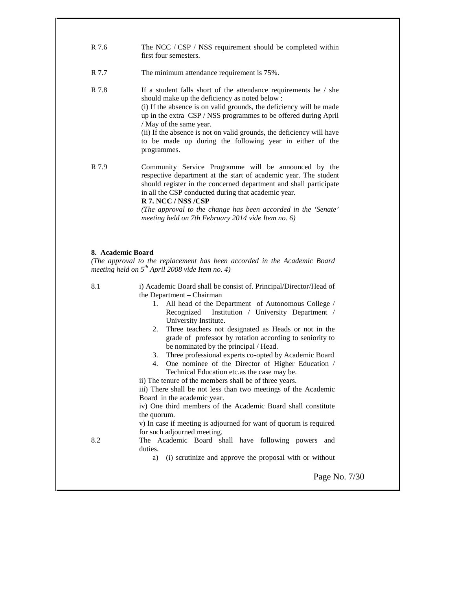| R 7.6 | The NCC / CSP / NSS requirement should be completed within<br>first four semesters.                                                                                                                                                                                                                                                                                                                                                         |
|-------|---------------------------------------------------------------------------------------------------------------------------------------------------------------------------------------------------------------------------------------------------------------------------------------------------------------------------------------------------------------------------------------------------------------------------------------------|
| R 7.7 | The minimum attendance requirement is 75%.                                                                                                                                                                                                                                                                                                                                                                                                  |
| R 7.8 | If a student falls short of the attendance requirements he / she<br>should make up the deficiency as noted below :<br>(i) If the absence is on valid grounds, the deficiency will be made<br>up in the extra CSP / NSS programmes to be offered during April<br>/ May of the same year.<br>(ii) If the absence is not on valid grounds, the deficiency will have<br>to be made up during the following year in either of the<br>programmes. |
| R 7.9 | Community Service Programme will be announced by the<br>respective department at the start of academic year. The student<br>should register in the concerned department and shall participate<br>in all the CSP conducted during that academic year.<br>R 7. NCC / NSS / CSP<br>(The approval to the change has been accorded in the 'Senate'<br>meeting held on 7th February 2014 vide Item no. 6)                                         |
|       | 8. Academic Board<br>(The approval to the replacement has been accorded in the Academic Board<br>meeting held on $5^{th}$ April 2008 vide Item no. 4)                                                                                                                                                                                                                                                                                       |
|       | i) Academic Board shall be consist of. Principal/Director/Head of<br>the Department – Chairman                                                                                                                                                                                                                                                                                                                                              |
|       | 1. All head of the Department of Autonomous College /<br>Institution / University Department /<br>Recognized                                                                                                                                                                                                                                                                                                                                |
|       | University Institute.<br>2. Three teachers not designated as Heads or not in the<br>grade of professor by rotation according to seniority to<br>be nominated by the principal / Head.                                                                                                                                                                                                                                                       |
|       | Three professional experts co-opted by Academic Board<br>3.<br>One nominee of the Director of Higher Education /<br>Technical Education etc.as the case may be.                                                                                                                                                                                                                                                                             |
| 8.1   | ii) The tenure of the members shall be of three years.<br>iii) There shall be not less than two meetings of the Academic<br>Board in the academic year.                                                                                                                                                                                                                                                                                     |
|       | iv) One third members of the Academic Board shall constitute<br>the quorum.                                                                                                                                                                                                                                                                                                                                                                 |
|       | v) In case if meeting is adjourned for want of quorum is required<br>for such adjourned meeting.                                                                                                                                                                                                                                                                                                                                            |
| 8.2   | The Academic Board shall have following powers<br>and<br>duties.<br>(i) scrutinize and approve the proposal with or without<br>a)                                                                                                                                                                                                                                                                                                           |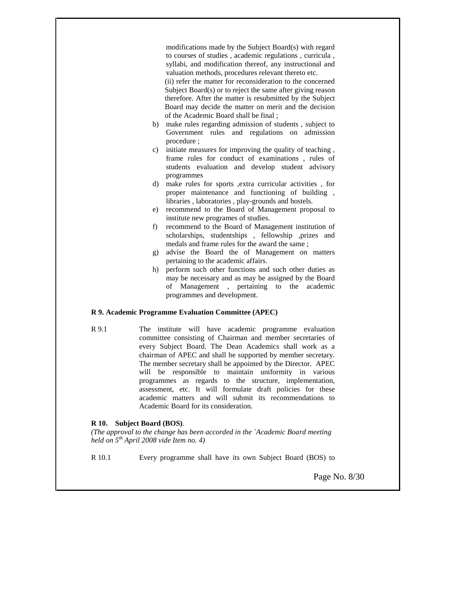modifications made by the Subject Board(s) with regard to courses of studies , academic regulations , curricula , syllabi, and modification thereof, any instructional and valuation methods, procedures relevant thereto etc.

(ii) refer the matter for reconsideration to the concerned Subject Board(s) or to reject the same after giving reason therefore. After the matter is resubmitted by the Subject Board may decide the matter on merit and the decision of the Academic Board shall be final ;

- b) make rules regarding admission of students , subject to Government rules and regulations on admission procedure ;
- c) initiate measures for improving the quality of teaching , frame rules for conduct of examinations , rules of students evaluation and develop student advisory programmes
- d) make rules for sports ,extra curricular activities , for proper maintenance and functioning of building , libraries , laboratories , play-grounds and hostels.
- e) recommend to the Board of Management proposal to institute new programes of studies.
- f) recommend to the Board of Management institution of scholarships, studentships , fellowship ,prizes and medals and frame rules for the award the same ;
- g) advise the Board the of Management on matters pertaining to the academic affairs.
- h) perform such other functions and such other duties as may be necessary and as may be assigned by the Board of Management , pertaining to the academic programmes and development.

#### **R 9. Academic Programme Evaluation Committee (APEC)**

R 9.1 The institute will have academic programme evaluation committee consisting of Chairman and member secretaries of every Subject Board. The Dean Academics shall work as a chairman of APEC and shall be supported by member secretary. The member secretary shall be appointed by the Director. APEC will be responsible to maintain uniformity in various programmes as regards to the structure, implementation, assessment, etc. It will formulate draft policies for these academic matters and will submit its recommendations to Academic Board for its consideration.

# **R 10. Subject Board (BOS)**.

*(The approval to the change has been accorded in the `Academic Board meeting held on 5th April 2008 vide Item no. 4)*

R 10.1 Every programme shall have its own Subject Board (BOS) to

Page No. 8/30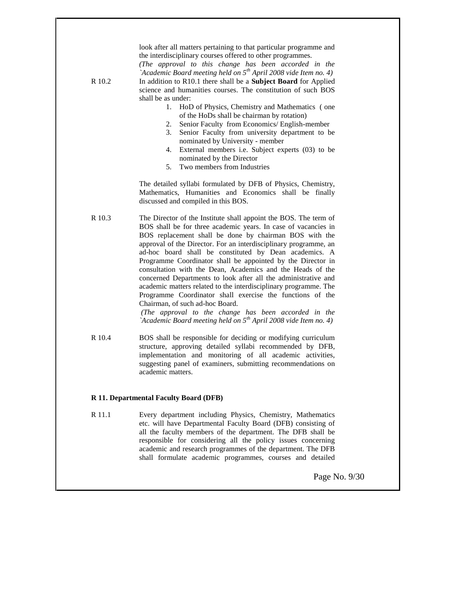| R 10.2 | look after all matters pertaining to that particular programme and<br>the interdisciplinary courses offered to other programmes.<br>(The approval to this change has been accorded in the<br>`Academic Board meeting held on $5^{th}$ April 2008 vide Item no. 4)<br>In addition to R10.1 there shall be a Subject Board for Applied<br>science and humanities courses. The constitution of such BOS<br>shall be as under:<br>1.<br>HoD of Physics, Chemistry and Mathematics (one<br>of the HoDs shall be chairman by rotation)<br>Senior Faculty from Economics/ English-member<br>2.<br>Senior Faculty from university department to be<br>3.<br>nominated by University - member<br>External members i.e. Subject experts (03) to be<br>4.<br>nominated by the Director<br>Two members from Industries<br>5.<br>The detailed syllabi formulated by DFB of Physics, Chemistry,<br>Mathematics, Humanities and Economics shall be finally |
|--------|---------------------------------------------------------------------------------------------------------------------------------------------------------------------------------------------------------------------------------------------------------------------------------------------------------------------------------------------------------------------------------------------------------------------------------------------------------------------------------------------------------------------------------------------------------------------------------------------------------------------------------------------------------------------------------------------------------------------------------------------------------------------------------------------------------------------------------------------------------------------------------------------------------------------------------------------|
| R 10.3 | discussed and compiled in this BOS.<br>The Director of the Institute shall appoint the BOS. The term of<br>BOS shall be for three academic years. In case of vacancies in                                                                                                                                                                                                                                                                                                                                                                                                                                                                                                                                                                                                                                                                                                                                                                   |
|        | BOS replacement shall be done by chairman BOS with the<br>approval of the Director. For an interdisciplinary programme, an<br>ad-hoc board shall be constituted by Dean academics. A<br>Programme Coordinator shall be appointed by the Director in<br>consultation with the Dean, Academics and the Heads of the<br>concerned Departments to look after all the administrative and<br>academic matters related to the interdisciplinary programme. The<br>Programme Coordinator shall exercise the functions of the<br>Chairman, of such ad-hoc Board.<br>(The approval to the change has been accorded in the<br>`Academic Board meeting held on 5 <sup>th</sup> April 2008 vide Item no. 4)                                                                                                                                                                                                                                              |
| R 10.4 | BOS shall be responsible for deciding or modifying curriculum<br>structure, approving detailed syllabi recommended by DFB,<br>implementation and monitoring of all academic activities,<br>suggesting panel of examiners, submitting recommendations on<br>academic matters.                                                                                                                                                                                                                                                                                                                                                                                                                                                                                                                                                                                                                                                                |

# **R 11. Departmental Faculty Board (DFB)**

R 11.1 Every department including Physics, Chemistry, Mathematics etc. will have Departmental Faculty Board (DFB) consisting of all the faculty members of the department. The DFB shall be responsible for considering all the policy issues concerning academic and research programmes of the department. The DFB shall formulate academic programmes, courses and detailed

Page No. 9/30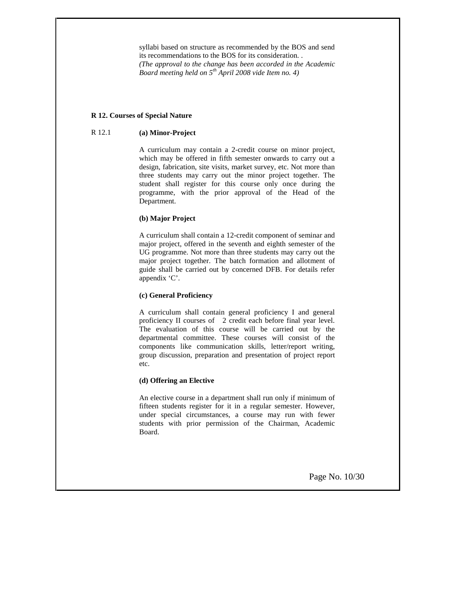syllabi based on structure as recommended by the BOS and send its recommendations to the BOS for its consideration. . *(The approval to the change has been accorded in the Academic Board meeting held on 5th April 2008 vide Item no. 4)*

#### **R 12. Courses of Special Nature**

#### R 12.1 **(a) Minor-Project**

A curriculum may contain a 2-credit course on minor project, which may be offered in fifth semester onwards to carry out a design, fabrication, site visits, market survey, etc. Not more than three students may carry out the minor project together. The student shall register for this course only once during the programme, with the prior approval of the Head of the Department.

## **(b) Major Project**

A curriculum shall contain a 12-credit component of seminar and major project, offered in the seventh and eighth semester of the UG programme. Not more than three students may carry out the major project together. The batch formation and allotment of guide shall be carried out by concerned DFB. For details refer appendix 'C'.

## **(c) General Proficiency**

A curriculum shall contain general proficiency I and general proficiency II courses of 2 credit each before final year level. The evaluation of this course will be carried out by the departmental committee. These courses will consist of the components like communication skills, letter/report writing, group discussion, preparation and presentation of project report etc.

#### **(d) Offering an Elective**

An elective course in a department shall run only if minimum of fifteen students register for it in a regular semester. However, under special circumstances, a course may run with fewer students with prior permission of the Chairman, Academic Board.

Page No. 10/30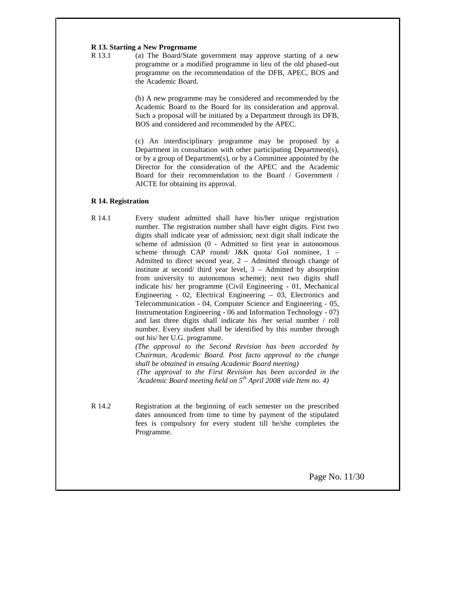#### **R 13. Starting a New Progrmame**

R 13.1 (a) The Board/State government may approve starting of a new programme or a modified programme in lieu of the old phased-out programme on the recommendation of the DFB, APEC, BOS and the Academic Board.

> (b) A new programme may be considered and recommended by the Academic Board to the Board for its consideration and approval. Such a proposal will be initiated by a Department through its DFB, BOS and considered and recommended by the APEC.

> (c) An interdisciplinary programme may be proposed by a Department in consultation with other participating Department(s), or by a group of Department(s), or by a Committee appointed by the Director for the consideration of the APEC and the Academic Board for their recommendation to the Board / Government / AICTE for obtaining its approval.

#### **R 14. Registration**

R 14.1 Every student admitted shall have his/her unique registration number. The registration number shall have eight digits. First two digits shall indicate year of admission; next digit shall indicate the scheme of admission (0 - Admitted to first year in autonomous scheme through CAP round/ J&K quota/ GoI nominee, 1 – Admitted to direct second year, 2 – Admitted through change of institute at second/ third year level, 3 – Admitted by absorption from university to autonomous scheme); next two digits shall indicate his/ her programme (Civil Engineering - 01, Mechanical Engineering - 02, Electrical Engineering – 03, Electronics and Telecommunication - 04, Computer Science and Engineering - 05, Instrumentation Engineering - 06 and Information Technology - 07) and last three digits shall indicate his /her serial number / roll number. Every student shall be identified by this number through out his/ her U.G. programme.

*(The approval to the Second Revision has been accorded by Chairman, Academic Board. Post facto approval to the change shall be obtained in ensuing Academic Board meeting) (The approval to the First Revision has been accorded in the `Academic Board meeting held on 5th April 2008 vide Item no. 4)*

R 14.2 Registration at the beginning of each semester on the prescribed dates announced from time to time by payment of the stipulated fees is compulsory for every student till he/she completes the Programme.

Page No. 11/30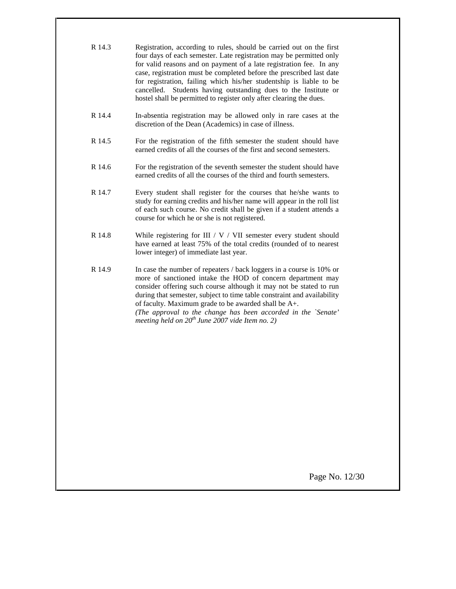| R 14.3 | Registration, according to rules, should be carried out on the first<br>four days of each semester. Late registration may be permitted only<br>for valid reasons and on payment of a late registration fee. In any<br>case, registration must be completed before the prescribed last date<br>for registration, failing which his/her studentship is liable to be<br>Students having outstanding dues to the Institute or<br>cancelled.<br>hostel shall be permitted to register only after clearing the dues. |
|--------|----------------------------------------------------------------------------------------------------------------------------------------------------------------------------------------------------------------------------------------------------------------------------------------------------------------------------------------------------------------------------------------------------------------------------------------------------------------------------------------------------------------|
| R 14.4 | In-absentia registration may be allowed only in rare cases at the<br>discretion of the Dean (Academics) in case of illness.                                                                                                                                                                                                                                                                                                                                                                                    |
| R 14.5 | For the registration of the fifth semester the student should have<br>earned credits of all the courses of the first and second semesters.                                                                                                                                                                                                                                                                                                                                                                     |
| R 14.6 | For the registration of the seventh semester the student should have<br>earned credits of all the courses of the third and fourth semesters.                                                                                                                                                                                                                                                                                                                                                                   |
| R 14.7 | Every student shall register for the courses that he/she wants to<br>study for earning credits and his/her name will appear in the roll list<br>of each such course. No credit shall be given if a student attends a<br>course for which he or she is not registered.                                                                                                                                                                                                                                          |
| R 14.8 | While registering for III / $V$ / VII semester every student should<br>have earned at least 75% of the total credits (rounded of to nearest<br>lower integer) of immediate last year.                                                                                                                                                                                                                                                                                                                          |
| R 14.9 | In case the number of repeaters / back loggers in a course is 10% or<br>more of sanctioned intake the HOD of concern department may<br>consider offering such course although it may not be stated to run<br>during that semester, subject to time table constraint and availability<br>of faculty. Maximum grade to be awarded shall be A+.<br>(The approval to the change has been accorded in the `Senate'<br>meeting held on $20^{th}$ June 2007 vide Item no. 2)                                          |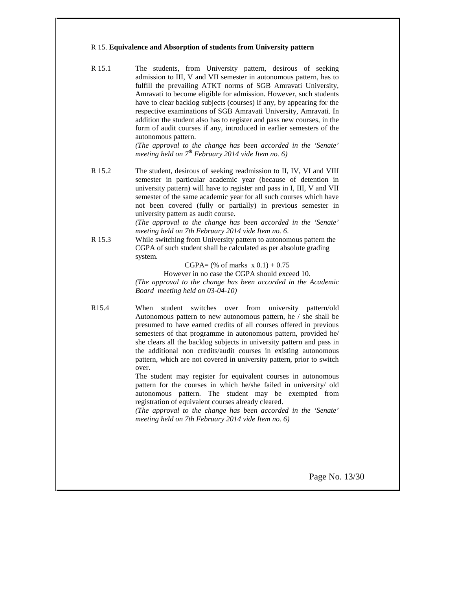#### R 15. **Equivalence and Absorption of students from University pattern**

R 15.1 The students, from University pattern, desirous of seeking admission to III, V and VII semester in autonomous pattern, has to fulfill the prevailing ATKT norms of SGB Amravati University, Amravati to become eligible for admission. However, such students have to clear backlog subjects (courses) if any, by appearing for the respective examinations of SGB Amravati University, Amravati. In addition the student also has to register and pass new courses, in the form of audit courses if any, introduced in earlier semesters of the autonomous pattern.

> *(The approval to the change has been accorded in the `Senate' meeting held on 7th February 2014 vide Item no. 6)*

R 15.2 The student, desirous of seeking readmission to II, IV, VI and VIII semester in particular academic year (because of detention in university pattern) will have to register and pass in I, III, V and VII semester of the same academic year for all such courses which have not been covered (fully or partially) in previous semester in university pattern as audit course.

> *(The approval to the change has been accorded in the `Senate' meeting held on 7th February 2014 vide Item no. 6.*

R 15.3 While switching from University pattern to autonomous pattern the CGPA of such student shall be calculated as per absolute grading system.

 $CGPA = (% of marks x 0.1) + 0.75$ 

However in no case the CGPA should exceed 10.

*(The approval to the change has been accorded in the Academic Board meeting held on 03-04-10)*

R15.4 When student switches over from university pattern/old Autonomous pattern to new autonomous pattern, he / she shall be presumed to have earned credits of all courses offered in previous semesters of that programme in autonomous pattern, provided he/ she clears all the backlog subjects in university pattern and pass in the additional non credits/audit courses in existing autonomous pattern, which are not covered in university pattern, prior to switch over.

> The student may register for equivalent courses in autonomous pattern for the courses in which he/she failed in university/ old autonomous pattern. The student may be exempted from registration of equivalent courses already cleared.

> *(The approval to the change has been accorded in the `Senate' meeting held on 7th February 2014 vide Item no. 6)*

> > Page No. 13/30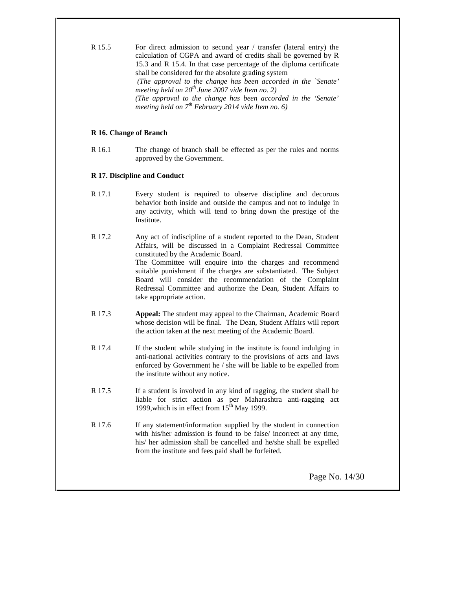R 15.5 For direct admission to second year / transfer (lateral entry) the calculation of CGPA and award of credits shall be governed by R 15.3 and R 15.4. In that case percentage of the diploma certificate shall be considered for the absolute grading system *(The approval to the change has been accorded in the `Senate' meeting held on 20th June 2007 vide Item no. 2) (The approval to the change has been accorded in the `Senate' meeting held on 7th February 2014 vide Item no. 6)*

## **R 16. Change of Branch**

R 16.1 The change of branch shall be effected as per the rules and norms approved by the Government.

## **R 17. Discipline and Conduct**

- R 17.1 Every student is required to observe discipline and decorous behavior both inside and outside the campus and not to indulge in any activity, which will tend to bring down the prestige of the Institute.
- R 17.2 Any act of indiscipline of a student reported to the Dean, Student Affairs, will be discussed in a Complaint Redressal Committee constituted by the Academic Board. The Committee will enquire into the charges and recommend suitable punishment if the charges are substantiated. The Subject Board will consider the recommendation of the Complaint Redressal Committee and authorize the Dean, Student Affairs to take appropriate action.
- R 17.3 **Appeal:** The student may appeal to the Chairman, Academic Board whose decision will be final. The Dean, Student Affairs will report the action taken at the next meeting of the Academic Board.
- R 17.4 If the student while studying in the institute is found indulging in anti-national activities contrary to the provisions of acts and laws enforced by Government he / she will be liable to be expelled from the institute without any notice.
- R 17.5 If a student is involved in any kind of ragging, the student shall be liable for strict action as per Maharashtra anti-ragging act 1999, which is in effect from  $15^{\text{th}}$  May 1999.
- R 17.6 If any statement/information supplied by the student in connection with his/her admission is found to be false/ incorrect at any time, his/ her admission shall be cancelled and he/she shall be expelled from the institute and fees paid shall be forfeited.

Page No. 14/30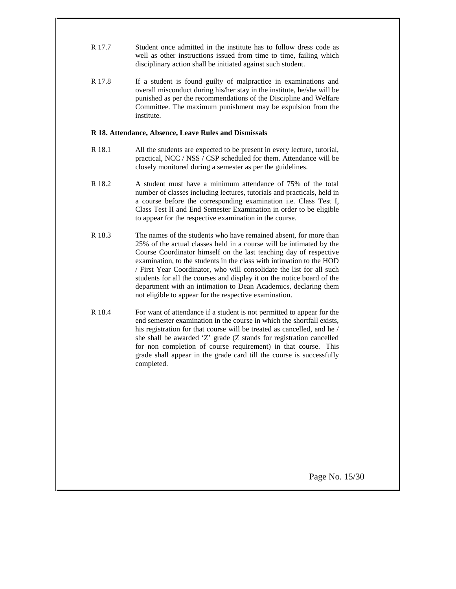- R 17.7 Student once admitted in the institute has to follow dress code as well as other instructions issued from time to time, failing which disciplinary action shall be initiated against such student.
- R 17.8 If a student is found guilty of malpractice in examinations and overall misconduct during his/her stay in the institute, he/she will be punished as per the recommendations of the Discipline and Welfare Committee. The maximum punishment may be expulsion from the institute.

#### **R 18. Attendance, Absence, Leave Rules and Dismissals**

- R 18.1 All the students are expected to be present in every lecture, tutorial, practical, NCC / NSS / CSP scheduled for them. Attendance will be closely monitored during a semester as per the guidelines.
- R 18.2 A student must have a minimum attendance of 75% of the total number of classes including lectures, tutorials and practicals, held in a course before the corresponding examination i.e. Class Test I, Class Test II and End Semester Examination in order to be eligible to appear for the respective examination in the course.
- R 18.3 The names of the students who have remained absent, for more than 25% of the actual classes held in a course will be intimated by the Course Coordinator himself on the last teaching day of respective examination, to the students in the class with intimation to the HOD / First Year Coordinator, who will consolidate the list for all such students for all the courses and display it on the notice board of the department with an intimation to Dean Academics, declaring them not eligible to appear for the respective examination.
- R 18.4 For want of attendance if a student is not permitted to appear for the end semester examination in the course in which the shortfall exists, his registration for that course will be treated as cancelled, and he / she shall be awarded `Z' grade (Z stands for registration cancelled for non completion of course requirement) in that course. This grade shall appear in the grade card till the course is successfully completed.

Page No. 15/30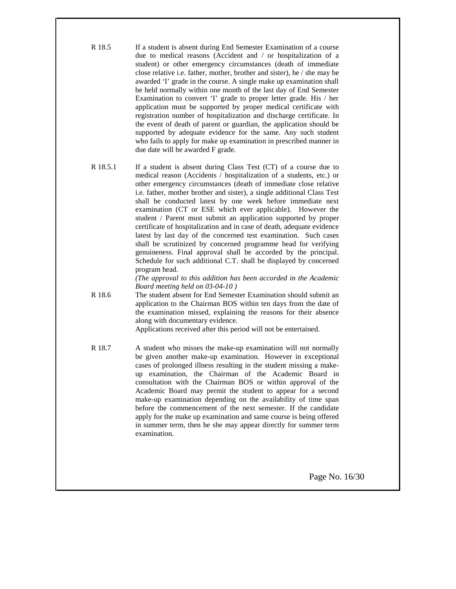- R 18.5 If a student is absent during End Semester Examination of a course due to medical reasons (Accident and / or hospitalization of a student) or other emergency circumstances (death of immediate close relative i.e. father, mother, brother and sister), he / she may be awarded 'I' grade in the course. A single make up examination shall be held normally within one month of the last day of End Semester Examination to convert 'I' grade to proper letter grade. His / her application must be supported by proper medical certificate with registration number of hospitalization and discharge certificate. In the event of death of parent or guardian, the application should be supported by adequate evidence for the same. Any such student who fails to apply for make up examination in prescribed manner in due date will be awarded F grade.
- R 18.5.1 If a student is absent during Class Test (CT) of a course due to medical reason (Accidents / hospitalization of a students, etc.) or other emergency circumstances (death of immediate close relative i.e. father, mother brother and sister), a single additional Class Test shall be conducted latest by one week before immediate next examination (CT or ESE which ever applicable). However the student / Parent must submit an application supported by proper certificate of hospitalization and in case of death, adequate evidence latest by last day of the concerned test examination. Such cases shall be scrutinized by concerned programme head for verifying genuineness. Final approval shall be accorded by the principal. Schedule for such additional C.T. shall be displayed by concerned program head.

*(The approval to this addition has been accorded in the Academic Board meeting held on 03-04-10 )*

R 18.6 The student absent for End Semester Examination should submit an application to the Chairman BOS within ten days from the date of the examination missed, explaining the reasons for their absence along with documentary evidence.

Applications received after this period will not be entertained.

R 18.7 A student who misses the make-up examination will not normally be given another make-up examination. However in exceptional cases of prolonged illness resulting in the student missing a make up examination, the Chairman of the Academic Board in consultation with the Chairman BOS or within approval of the Academic Board may permit the student to appear for a second make-up examination depending on the availability of time span before the commencement of the next semester. If the candidate apply for the make up examination and same course is being offered in summer term, then he she may appear directly for summer term examination.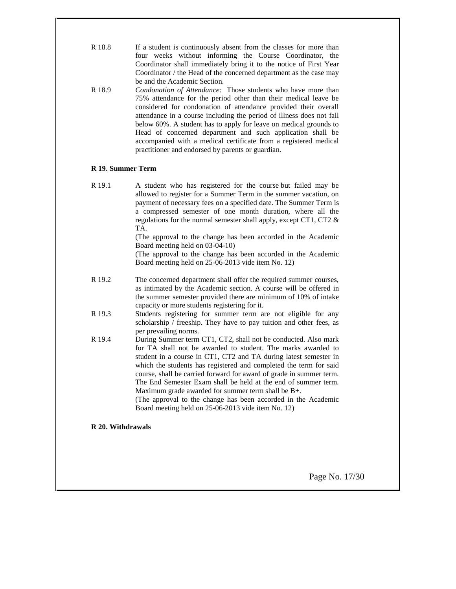| R 18.8 | If a student is continuously absent from the classes for more than |  |  |  |
|--------|--------------------------------------------------------------------|--|--|--|
|        | four weeks without informing the Course Coordinator, the           |  |  |  |
|        | Coordinator shall immediately bring it to the notice of First Year |  |  |  |
|        | Coordinator / the Head of the concerned department as the case may |  |  |  |
|        | be and the Academic Section.                                       |  |  |  |

R 18.9 *Condonation of Attendance:* Those students who have more than 75% attendance for the period other than their medical leave be considered for condonation of attendance provided their overall attendance in a course including the period of illness does not fall below 60%. A student has to apply for leave on medical grounds to Head of concerned department and such application shall be accompanied with a medical certificate from a registered medical practitioner and endorsed by parents or guardian.

## **R 19. Summer Term**

R 19.1 A student who has registered for the course but failed may be allowed to register for a Summer Term in the summer vacation, on payment of necessary fees on a specified date. The Summer Term is a compressed semester of one month duration, where all the regulations for the normal semester shall apply, except CT1, CT2 & TA.

(The approval to the change has been accorded in the Academic Board meeting held on 03-04-10)

(The approval to the change has been accorded in the Academic Board meeting held on 25-06-2013 vide item No. 12)

- R 19.2 The concerned department shall offer the required summer courses, as intimated by the Academic section. A course will be offered in the summer semester provided there are minimum of 10% of intake capacity or more students registering for it.
- R 19.3 Students registering for summer term are not eligible for any scholarship / freeship. They have to pay tuition and other fees, as per prevailing norms.
- R 19.4 During Summer term CT1, CT2, shall not be conducted. Also mark for TA shall not be awarded to student. The marks awarded to student in a course in CT1, CT2 and TA during latest semester in which the students has registered and completed the term for said course, shall be carried forward for award of grade in summer term. The End Semester Exam shall be held at the end of summer term. Maximum grade awarded for summer term shall be B+.

(The approval to the change has been accorded in the Academic Board meeting held on 25-06-2013 vide item No. 12)

# **R 20. Withdrawals**

Page No. 17/30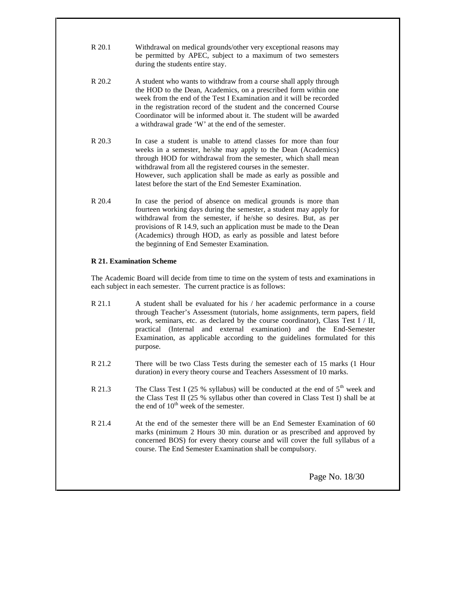| R 20.1 | Withdrawal on medical grounds/other very exceptional reasons may |
|--------|------------------------------------------------------------------|
|        | be permitted by APEC, subject to a maximum of two semesters      |
|        | during the students entire stay.                                 |

- R 20.2 A student who wants to withdraw from a course shall apply through the HOD to the Dean, Academics, on a prescribed form within one week from the end of the Test I Examination and it will be recorded in the registration record of the student and the concerned Course Coordinator will be informed about it. The student will be awarded a withdrawal grade 'W' at the end of the semester.
- R 20.3 In case a student is unable to attend classes for more than four weeks in a semester, he/she may apply to the Dean (Academics) through HOD for withdrawal from the semester, which shall mean withdrawal from all the registered courses in the semester. However, such application shall be made as early as possible and latest before the start of the End Semester Examination.
- R 20.4 In case the period of absence on medical grounds is more than fourteen working days during the semester, a student may apply for withdrawal from the semester, if he/she so desires. But, as per provisions of R 14.9, such an application must be made to the Dean (Academics) through HOD, as early as possible and latest before the beginning of End Semester Examination.

# **R 21. Examination Scheme**

The Academic Board will decide from time to time on the system of tests and examinations in each subject in each semester. The current practice is as follows:

- R 21.1 A student shall be evaluated for his / her academic performance in a course through Teacher's Assessment (tutorials, home assignments, term papers, field work, seminars, etc. as declared by the course coordinator), Class Test I / II, practical (Internal and external examination) and the End-Semester Examination, as applicable according to the guidelines formulated for this purpose.
- R 21.2 There will be two Class Tests during the semester each of 15 marks (1 Hour duration) in every theory course and Teachers Assessment of 10 marks.
- R 21.3 The Class Test I (25 % syllabus) will be conducted at the end of  $5<sup>th</sup>$  week and the Class Test II (25 % syllabus other than covered in Class Test I) shall be at the end of  $10<sup>th</sup>$  week of the semester.
- R 21.4 At the end of the semester there will be an End Semester Examination of 60 marks (minimum 2 Hours 30 min. duration or as prescribed and approved by concerned BOS) for every theory course and will cover the full syllabus of a course. The End Semester Examination shall be compulsory.

Page No. 18/30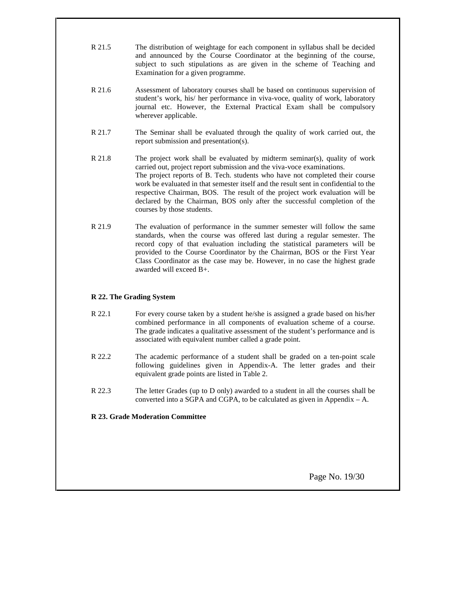| R 21.5 | The distribution of weightage for each component in syllabus shall be decided |  |  |  |
|--------|-------------------------------------------------------------------------------|--|--|--|
|        | and announced by the Course Coordinator at the beginning of the course,       |  |  |  |
|        | subject to such stipulations as are given in the scheme of Teaching and       |  |  |  |
|        | Examination for a given programme.                                            |  |  |  |

- R 21.6 Assessment of laboratory courses shall be based on continuous supervision of student's work, his/ her performance in viva-voce, quality of work, laboratory journal etc. However, the External Practical Exam shall be compulsory wherever applicable.
- R 21.7 The Seminar shall be evaluated through the quality of work carried out, the report submission and presentation(s).
- R 21.8 The project work shall be evaluated by midterm seminar(s), quality of work carried out, project report submission and the viva-voce examinations. The project reports of B. Tech. students who have not completed their course work be evaluated in that semester itself and the result sent in confidential to the respective Chairman, BOS. The result of the project work evaluation will be declared by the Chairman, BOS only after the successful completion of the courses by those students.
- R 21.9 The evaluation of performance in the summer semester will follow the same standards, when the course was offered last during a regular semester. The record copy of that evaluation including the statistical parameters will be provided to the Course Coordinator by the Chairman, BOS or the First Year Class Coordinator as the case may be. However, in no case the highest grade awarded will exceed B+.

# **R 22. The Grading System**

- R 22.1 For every course taken by a student he/she is assigned a grade based on his/her combined performance in all components of evaluation scheme of a course. The grade indicates a qualitative assessment of the student's performance and is associated with equivalent number called a grade point.
- R 22.2 The academic performance of a student shall be graded on a ten-point scale following guidelines given in Appendix-A. The letter grades and their equivalent grade points are listed in Table 2.
- R 22.3 The letter Grades (up to D only) awarded to a student in all the courses shall be converted into a SGPA and CGPA, to be calculated as given in Appendix  $- A$ .

# **R 23. Grade Moderation Committee**

Page No. 19/30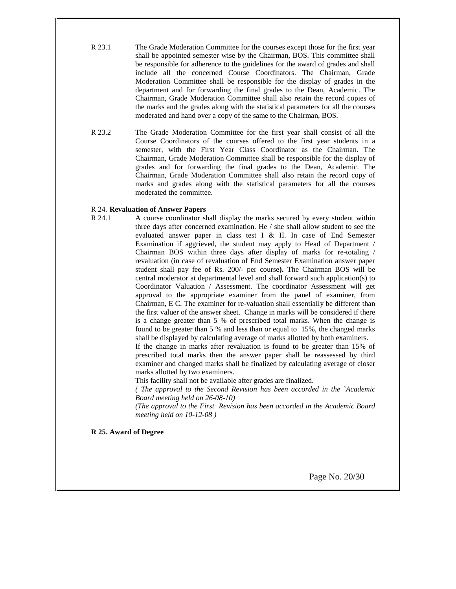- R 23.1 The Grade Moderation Committee for the courses except those for the first year shall be appointed semester wise by the Chairman, BOS. This committee shall be responsible for adherence to the guidelines for the award of grades and shall include all the concerned Course Coordinators. The Chairman, Grade Moderation Committee shall be responsible for the display of grades in the department and for forwarding the final grades to the Dean, Academic. The Chairman, Grade Moderation Committee shall also retain the record copies of the marks and the grades along with the statistical parameters for all the courses moderated and hand over a copy of the same to the Chairman, BOS.
- R 23.2 The Grade Moderation Committee for the first year shall consist of all the Course Coordinators of the courses offered to the first year students in a semester, with the First Year Class Coordinator as the Chairman. The Chairman, Grade Moderation Committee shall be responsible for the display of grades and for forwarding the final grades to the Dean, Academic. The Chairman, Grade Moderation Committee shall also retain the record copy of marks and grades along with the statistical parameters for all the courses moderated the committee.

#### R 24. **Revaluation of Answer Papers**

R 24.1 A course coordinator shall display the marks secured by every student within three days after concerned examination. He / she shall allow student to see the evaluated answer paper in class test I & II. In case of End Semester Examination if aggrieved, the student may apply to Head of Department / Chairman BOS within three days after display of marks for re-totaling / revaluation (in case of revaluation of End Semester Examination answer paper student shall pay fee of Rs. 200/- per course**).** The Chairman BOS will be central moderator at departmental level and shall forward such application(s) to Coordinator Valuation / Assessment. The coordinator Assessment will get approval to the appropriate examiner from the panel of examiner, from Chairman, E C. The examiner for re-valuation shall essentially be different than the first valuer of the answer sheet. Change in marks will be considered if there is a change greater than 5 % of prescribed total marks. When the change is found to be greater than 5 % and less than or equal to 15%, the changed marks shall be displayed by calculating average of marks allotted by both examiners.

If the change in marks after revaluation is found to be greater than 15% of prescribed total marks then the answer paper shall be reassessed by third examiner and changed marks shall be finalized by calculating average of closer marks allotted by two examiners.

This facility shall not be available after grades are finalized.

*( The approval to the Second Revision has been accorded in the `Academic Board meeting held on 26-08-10)*

*(The approval to the First Revision has been accorded in the Academic Board meeting held on 10-12-08 )*

**R 25. Award of Degree**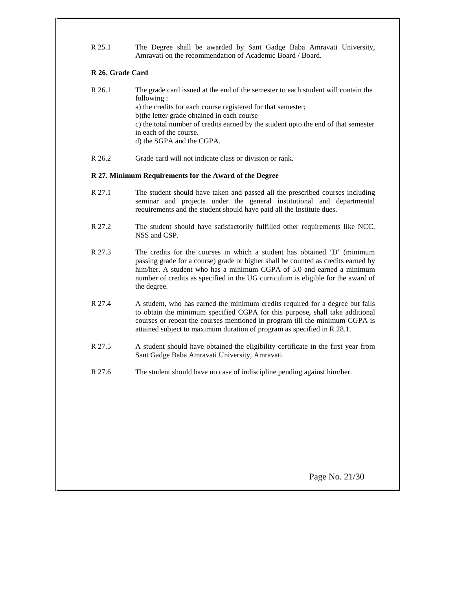R 25.1 The Degree shall be awarded by Sant Gadge Baba Amravati University, Amravati on the recommendation of Academic Board / Board.

# **R 26. Grade Card**

- R 26.1 The grade card issued at the end of the semester to each student will contain the following : a) the credits for each course registered for that semester; b)the letter grade obtained in each course c) the total number of credits earned by the student upto the end of that semester in each of the course. d) the SGPA and the CGPA.
- R 26.2 Grade card will not indicate class or division or rank.

# **R 27. Minimum Requirements for the Award of the Degree**

- R 27.1 The student should have taken and passed all the prescribed courses including seminar and projects under the general institutional and departmental requirements and the student should have paid all the Institute dues.
- R 27.2 The student should have satisfactorily fulfilled other requirements like NCC, NSS and CSP.
- R 27.3 The credits for the courses in which a student has obtained 'D' (minimum passing grade for a course) grade or higher shall be counted as credits earned by him/her. A student who has a minimum CGPA of 5.0 and earned a minimum number of credits as specified in the UG curriculum is eligible for the award of the degree.
- R 27.4 A student, who has earned the minimum credits required for a degree but fails to obtain the minimum specified CGPA for this purpose, shall take additional courses or repeat the courses mentioned in program till the minimum CGPA is attained subject to maximum duration of program as specified in R 28.1.
- R 27.5 A student should have obtained the eligibility certificate in the first year from Sant Gadge Baba Amravati University, Amravati.
- R 27.6 The student should have no case of indiscipline pending against him/her.

Page No. 21/30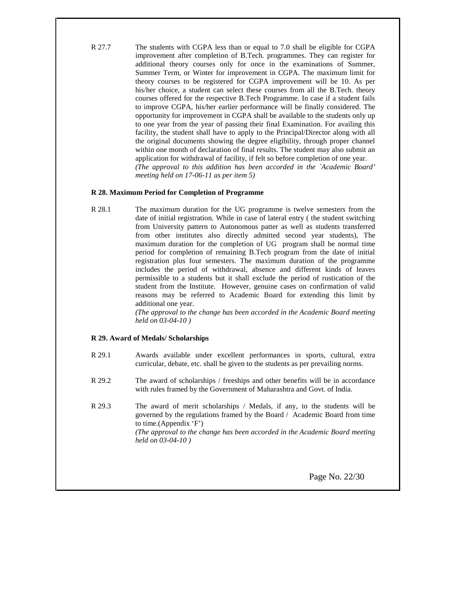R 27.7 The students with CGPA less than or equal to 7.0 shall be eligible for CGPA improvement after completion of B.Tech. programmes. They can register for additional theory courses only for once in the examinations of Summer, Summer Term, or Winter for improvement in CGPA. The maximum limit for theory courses to be registered for CGPA improvement will be 10. As per his/her choice, a student can select these courses from all the B.Tech. theory courses offered for the respective B.Tech Programme. In case if a student fails to improve CGPA, his/her earlier performance will be finally considered. The opportunity for improvement in CGPA shall be available to the students only up to one year from the year of passing their final Examination. For availing this facility, the student shall have to apply to the Principal/Director along with all the original documents showing the degree eligibility, through proper channel within one month of declaration of final results. The student may also submit an application for withdrawal of facility, if felt so before completion of one year. *(The approval to this addition has been accorded in the `Academic Board' meeting held on 17-06-11 as per item 5)*

## **R 28. Maximum Period for Completion of Programme**

R 28.1 The maximum duration for the UG programme is twelve semesters from the date of initial registration. While in case of lateral entry ( the student switching from University pattern to Autonomous patter as well as students transferred from other institutes also directly admitted second year students), The maximum duration for the completion of UG program shall be normal time period for completion of remaining B.Tech program from the date of initial registration plus four semesters. The maximum duration of the programme includes the period of withdrawal, absence and different kinds of leaves permissible to a students but it shall exclude the period of rustication of the student from the Institute. However, genuine cases on confirmation of valid reasons may be referred to Academic Board for extending this limit by additional one year.

> *(The approval to the change has been accorded in the Academic Board meeting held on 03-04-10 )*

#### **R 29. Award of Medals/ Scholarships**

- R 29.1 Awards available under excellent performances in sports, cultural, extra curricular, debate, etc. shall be given to the students as per prevailing norms.
- R 29.2 The award of scholarships / freeships and other benefits will be in accordance with rules framed by the Government of Maharashtra and Govt. of India.
- R 29.3 The award of merit scholarships / Medals, if any, to the students will be governed by the regulations framed by the Board / Academic Board from time to time.(Appendix 'F') *(The approval to the change has been accorded in the Academic Board meeting held on 03-04-10 )*

Page No. 22/30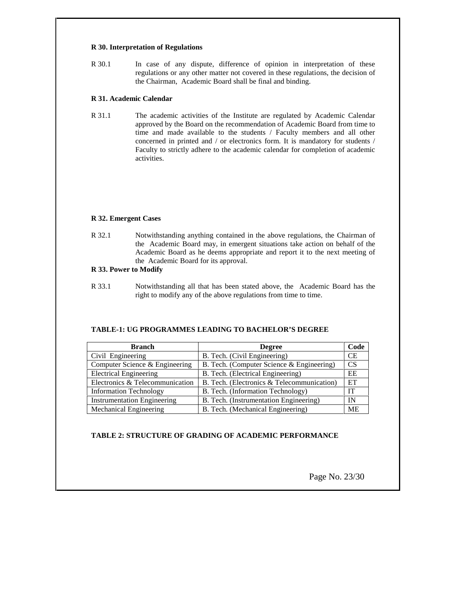#### **R 30. Interpretation of Regulations**

R 30.1 In case of any dispute, difference of opinion in interpretation of these regulations or any other matter not covered in these regulations, the decision of the Chairman, Academic Board shall be final and binding.

## **R 31. Academic Calendar**

R 31.1 The academic activities of the Institute are regulated by Academic Calendar approved by the Board on the recommendation of Academic Board from time to time and made available to the students / Faculty members and all other concerned in printed and / or electronics form. It is mandatory for students / Faculty to strictly adhere to the academic calendar for completion of academic activities.

# **R 32. Emergent Cases**

R 32.1 Notwithstanding anything contained in the above regulations, the Chairman of the Academic Board may, in emergent situations take action on behalf of the Academic Board as he deems appropriate and report it to the next meeting of the Academic Board for its approval.

## **R 33. Power to Modify**

R 33.1 Notwithstanding all that has been stated above, the Academic Board has the right to modify any of the above regulations from time to time.

# **TABLE-1: UG PROGRAMMES LEADING TO BACHELOR'S DEGREE**

| <b>Branch</b>                      | <b>Degree</b>                              | Code      |
|------------------------------------|--------------------------------------------|-----------|
| Civil Engineering                  | B. Tech. (Civil Engineering)               | <b>CE</b> |
| Computer Science & Engineering     | B. Tech. (Computer Science & Engineering)  | <b>CS</b> |
| <b>Electrical Engineering</b>      | B. Tech. (Electrical Engineering)          | EE        |
| Electronics & Telecommunication    | B. Tech. (Electronics & Telecommunication) | ET        |
| <b>Information Technology</b>      | B. Tech. (Information Technology)          | IТ        |
| <b>Instrumentation Engineering</b> | B. Tech. (Instrumentation Engineering)     | IN        |
| Mechanical Engineering             | B. Tech. (Mechanical Engineering)          | <b>ME</b> |

# **TABLE 2: STRUCTURE OF GRADING OF ACADEMIC PERFORMANCE**

Page No. 23/30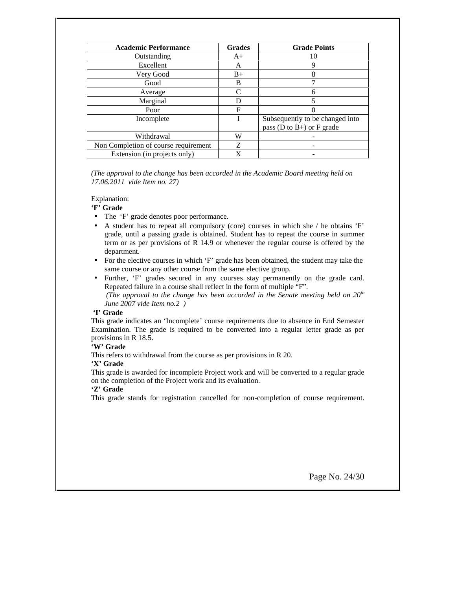| <b>Academic Performance</b>          | <b>Grades</b> | <b>Grade Points</b>               |
|--------------------------------------|---------------|-----------------------------------|
| Outstanding                          | $A+$          | 10                                |
| Excellent                            | A             | 9                                 |
| Very Good                            | $B+$          | 8                                 |
| Good                                 | B             |                                   |
| Average                              | C             | h                                 |
| Marginal                             |               |                                   |
| Poor                                 | F             |                                   |
| Incomplete                           |               | Subsequently to be changed into   |
|                                      |               | pass ( $D$ to $B+$ ) or $F$ grade |
| Withdrawal                           | W             |                                   |
| Non Completion of course requirement | Z             |                                   |
| Extension (in projects only)         | X             |                                   |

*(The approval to the change has been accorded in the Academic Board meeting held on 17.06.2011 vide Item no. 27)*

Explanation:

#### **'F' Grade**

- The 'F' grade denotes poor performance.
- A student has to repeat all compulsory (core) courses in which she / he obtains 'F' grade, until a passing grade is obtained. Student has to repeat the course in summer term or as per provisions of R 14.9 or whenever the regular course is offered by the department.
- For the elective courses in which 'F' grade has been obtained, the student may take the same course or any other course from the same elective group.
- Further, 'F' grades secured in any courses stay permanently on the grade card. Repeated failure in a course shall reflect in the form of multiple "F".

*(The approval to the change has been accorded in the Senate meeting held on 20th June 2007 vide Item no.2 )*

#### **'I' Grade**

This grade indicates an 'Incomplete' course requirements due to absence in End Semester Examination. The grade is required to be converted into a regular letter grade as per provisions in R 18.5.

# **'W' Grade**

This refers to withdrawal from the course as per provisions in R 20.

## **'X' Grade**

This grade is awarded for incomplete Project work and will be converted to a regular grade on the completion of the Project work and its evaluation.

#### **'Z' Grade**

This grade stands for registration cancelled for non-completion of course requirement.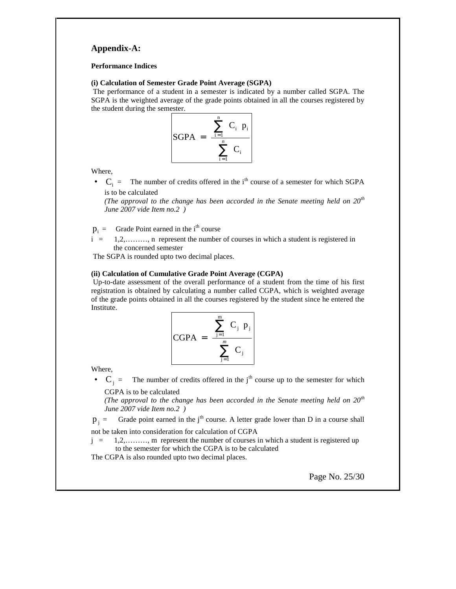# **Appendix-A:**

#### **Performance Indices**

#### **(i) Calculation of Semester Grade Point Average (SGPA)**

The performance of a student in a semester is indicated by a number called SGPA. The SGPA is the weighted average of the grade points obtained in all the courses registered by the student during the semester.



Where,

•  $C_i$  = The number of credits offered in the i<sup>th</sup> course of a semester for which SGPA is to be calculated

*(The approval to the change has been accorded in the Senate meeting held on 20th June 2007 vide Item no.2 )*

 $p_i$  = Grade Point earned in the i<sup>th</sup> course

 $i = 1,2,...,\ldots$ , n represent the number of courses in which a student is registered in the concerned semester

The SGPA is rounded upto two decimal places.

## **(ii) Calculation of Cumulative Grade Point Average (CGPA)**

Up-to-date assessment of the overall performance of a student from the time of his first registration is obtained by calculating a number called CGPA, which is weighted average of the grade points obtained in all the courses registered by the student since he entered the Institute.

$$
CGPA = \frac{\sum_{j=1}^{m} C_j p_j}{\sum_{j=1}^{m} C_j}
$$

Where,

•  $C_j$  = The number of credits offered in the j<sup>th</sup> course up to the semester for which CGPA is to be calculated

*(The approval to the change has been accorded in the Senate meeting held on 20th June 2007 vide Item no.2 )*

 $p_i$  = Grade point earned in the j<sup>th</sup> course. A letter grade lower than D in a course shall not be taken into consideration for calculation of CGPA

 $j = 1,2,......,$  m represent the number of courses in which a student is registered up to the semester for which the CGPA is to be calculated

The CGPA is also rounded upto two decimal places.

Page No. 25/30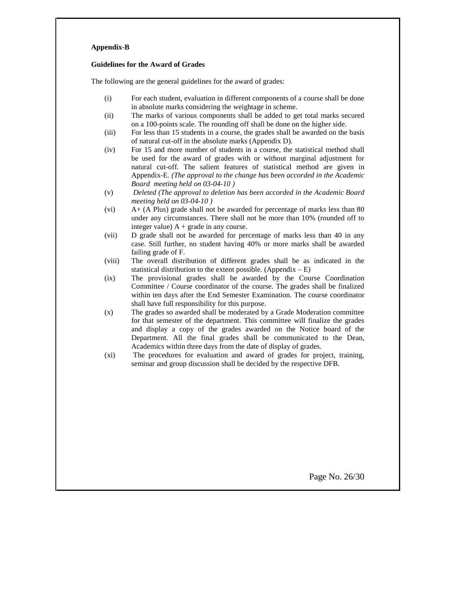#### **Appendix-B**

#### **Guidelines for the Award of Grades**

The following are the general guidelines for the award of grades:

- (i) For each student, evaluation in different components of a course shall be done in absolute marks considering the weightage in scheme.
- (ii) The marks of various components shall be added to get total marks secured on a 100-points scale. The rounding off shall be done on the higher side.
- (iii) For less than 15 students in a course, the grades shall be awarded on the basis of natural cut-off in the absolute marks (Appendix D).
- (iv) For 15 and more number of students in a course, the statistical method shall be used for the award of grades with or without marginal adjustment for natural cut-off. The salient features of statistical method are given in Appendix-E. *(The approval to the change has been accorded in the Academic Board meeting held on 03-04-10 )*
- (v) *Deleted (The approval to deletion has been accorded in the Academic Board meeting held on 03-04-10 )*
- (vi) A+ (A Plus) grade shall not be awarded for percentage of marks less than 80 under any circumstances. There shall not be more than 10% (rounded off to integer value)  $A + grade$  in any course.
- (vii) D grade shall not be awarded for percentage of marks less than 40 in any case. Still further, no student having 40% or more marks shall be awarded failing grade of F.
- (viii) The overall distribution of different grades shall be as indicated in the statistical distribution to the extent possible. (Appendix  $- E$ )
- (ix) The provisional grades shall be awarded by the Course Coordination Committee / Course coordinator of the course. The grades shall be finalized within ten days after the End Semester Examination. The course coordinator shall have full responsibility for this purpose.
- (x) The grades so awarded shall be moderated by a Grade Moderation committee for that semester of the department. This committee will finalize the grades and display a copy of the grades awarded on the Notice board of the Department. All the final grades shall be communicated to the Dean, Academics within three days from the date of display of grades.
- (xi) The procedures for evaluation and award of grades for project, training, seminar and group discussion shall be decided by the respective DFB.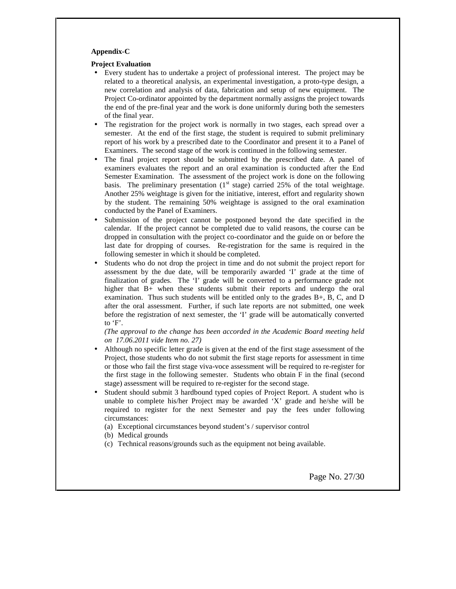#### **Appendix-C**

#### **Project Evaluation**

- Every student has to undertake a project of professional interest. The project may be related to a theoretical analysis, an experimental investigation, a proto-type design, a new correlation and analysis of data, fabrication and setup of new equipment. The Project Co-ordinator appointed by the department normally assigns the project towards the end of the pre-final year and the work is done uniformly during both the semesters of the final year.
- The registration for the project work is normally in two stages, each spread over a semester. At the end of the first stage, the student is required to submit preliminary report of his work by a prescribed date to the Coordinator and present it to a Panel of Examiners. The second stage of the work is continued in the following semester.
- The final project report should be submitted by the prescribed date. A panel of examiners evaluates the report and an oral examination is conducted after the End Semester Examination. The assessment of the project work is done on the following basis. The preliminary presentation  $(1<sup>st</sup> stage)$  carried 25% of the total weightage. Another 25% weightage is given for the initiative, interest, effort and regularity shown by the student. The remaining 50% weightage is assigned to the oral examination conducted by the Panel of Examiners.
- Submission of the project cannot be postponed beyond the date specified in the calendar. If the project cannot be completed due to valid reasons, the course can be dropped in consultation with the project co-coordinator and the guide on or before the last date for dropping of courses. Re-registration for the same is required in the following semester in which it should be completed.
- Students who do not drop the project in time and do not submit the project report for assessment by the due date, will be temporarily awarded 'I' grade at the time of finalization of grades. The 'I' grade will be converted to a performance grade not higher that B+ when these students submit their reports and undergo the oral examination. Thus such students will be entitled only to the grades B+, B, C, and D after the oral assessment. Further, if such late reports are not submitted, one week before the registration of next semester, the 'I' grade will be automatically converted to 'F'.

#### *(The approval to the change has been accorded in the Academic Board meeting held on 17.06.2011 vide Item no. 27)*

- Although no specific letter grade is given at the end of the first stage assessment of the Project, those students who do not submit the first stage reports for assessment in time or those who fail the first stage viva-voce assessment will be required to re-register for the first stage in the following semester. Students who obtain F in the final (second stage) assessment will be required to re-register for the second stage.
- Student should submit 3 hardbound typed copies of Project Report. A student who is unable to complete his/her Project may be awarded 'X' grade and he/she will be required to register for the next Semester and pay the fees under following circumstances:

(a) Exceptional circumstances beyond student's / supervisor control

- (b) Medical grounds
- (c) Technical reasons/grounds such as the equipment not being available.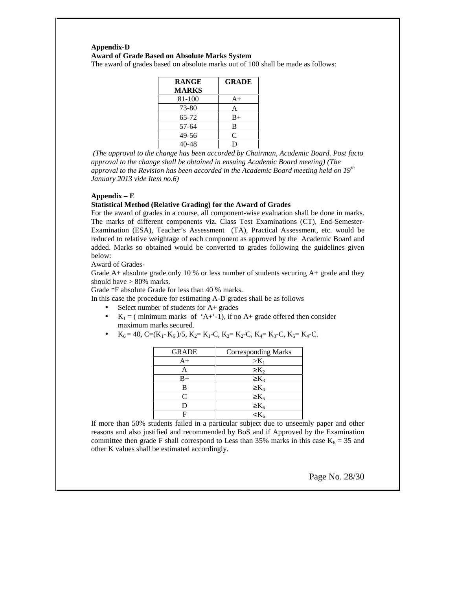# **Appendix-D Award of Grade Based on Absolute Marks System**

The award of grades based on absolute marks out of 100 shall be made as follows:

| <b>RANGE</b> | <b>GRADE</b> |
|--------------|--------------|
| <b>MARKS</b> |              |
| 81-100       | $A+$         |
| 73-80        | А            |
| 65-72        | $B+$         |
| 57-64        | в            |
| 49-56        | C            |
| 18           | D            |

*(The approval to the change has been accorded by Chairman, Academic Board. Post facto approval to the change shall be obtained in ensuing Academic Board meeting) (The approval to the Revision has been accorded in the Academic Board meeting held on 19th January 2013 vide Item no.6)*

## **Appendix – E**

#### **Statistical Method (Relative Grading) for the Award of Grades**

For the award of grades in a course, all component-wise evaluation shall be done in marks. The marks of different components viz. Class Test Examinations (CT), End-Semester- Examination (ESA), Teacher's Assessment (TA), Practical Assessment, etc. would be reduced to relative weightage of each component as approved by the Academic Board and added. Marks so obtained would be converted to grades following the guidelines given below:

Award of Grades-

Grade A+ absolute grade only 10 % or less number of students securing A+ grade and they should have  $\geq 80\%$  marks.

Grade \*F absolute Grade for less than 40 % marks.

In this case the procedure for estimating A-D grades shall be as follows

- Select number of students for A+ grades
- $K_1 = ($  minimum marks of 'A+'-1), if no A+ grade offered then consider maximum marks secured.
- $K_6 = 40$ , C=(K<sub>1</sub>- K<sub>6</sub>)/5, K<sub>2</sub>= K<sub>1</sub>-C, K<sub>3</sub>= K<sub>2</sub>-C, K<sub>4</sub>= K<sub>3</sub>-C, K<sub>5</sub>= K<sub>4</sub>-C.

| <b>GRADE</b> | <b>Corresponding Marks</b> |
|--------------|----------------------------|
| $A+$         | $>K_1$                     |
|              | $\rm K_2$                  |
| B+           | $K_3$                      |
| в            |                            |
| $\subset$    | $K_5$                      |
|              |                            |
|              |                            |

If more than 50% students failed in a particular subject due to unseemly paper and other reasons and also justified and recommended by BoS and if Approved by the Examination committee then grade F shall correspond to Less than 35% marks in this case  $K_6 = 35$  and other K values shall be estimated accordingly.

Page No. 28/30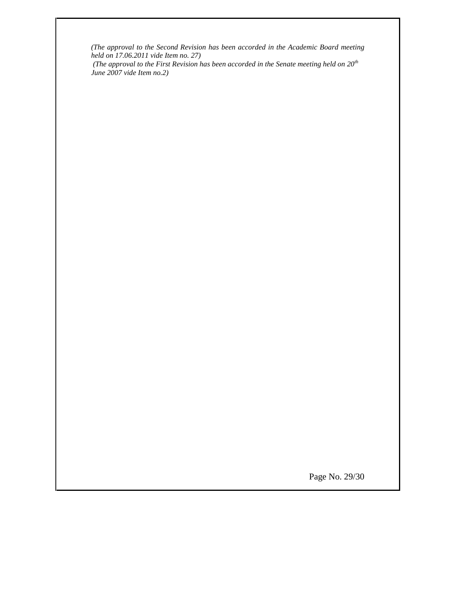*(The approval to the Second Revision has been accorded in the Academic Board meeting held on 17.06.2011 vide Item no. 27)*

*(The approval to the First Revision has been accorded in the Senate meeting held on 20th June 2007 vide Item no.2)*

Page No. 29/30